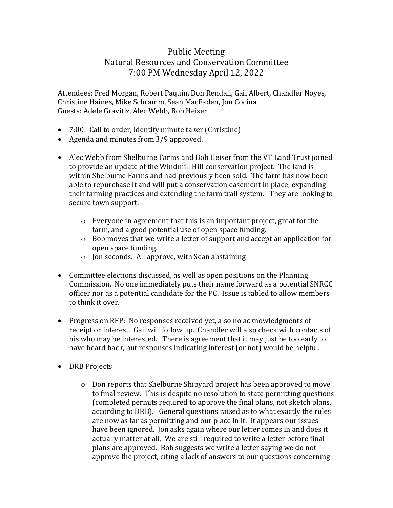## Public Meeting Natural Resources and Conservation Committee 7:00 PM Wednesday April 12, 2022

Attendees: Fred Morgan, Robert Paquin, Don Rendall, Gail Albert, Chandler Noyes, Christine Haines, Mike Schramm, Sean MacFaden, Jon Cocina Guests: Adele Gravitiz, Alec Webb, Bob Heiser

- 7:00: Call to order, identify minute taker (Christine)
- Agenda and minutes from 3/9 approved.
- Alec Webb from Shelburne Farms and Bob Heiser from the VT Land Trust joined to provide an update of the Windmill Hill conservation project. The land is within Shelburne Farms and had previously been sold. The farm has now been able to repurchase it and will put a conservation easement in place; expanding their farming practices and extending the farm trail system. They are looking to secure town support.
	- o Everyone in agreement that this is an important project, great for the farm, and a good potential use of open space funding.
	- o Bob moves that we write a letter of support and accept an application for open space funding.
	- o Jon seconds. All approve, with Sean abstaining
- Committee elections discussed, as well as open positions on the Planning Commission. No one immediately puts their name forward as a potential SNRCC officer nor as a potential candidate for the PC. Issue is tabled to allow members to think it over.
- Progress on RFP: No responses received yet, also no acknowledgments of receipt or interest. Gail will follow up. Chandler will also check with contacts of his who may be interested. There is agreement that it may just be too early to have heard back, but responses indicating interest (or not) would be helpful.
- DRB Projects
	- o Don reports that Shelburne Shipyard project has been approved to move to final review. This is despite no resolution to state permitting questions (completed permits required to approve the final plans, not sketch plans, according to DRB). General questions raised as to what exactly the rules are now as far as permitting and our place in it. It appears our issues have been ignored. Jon asks again where our letter comes in and does it actually matter at all. We are still required to write a letter before final plans are approved. Bob suggests we write a letter saying we do not approve the project, citing a lack of answers to our questions concerning